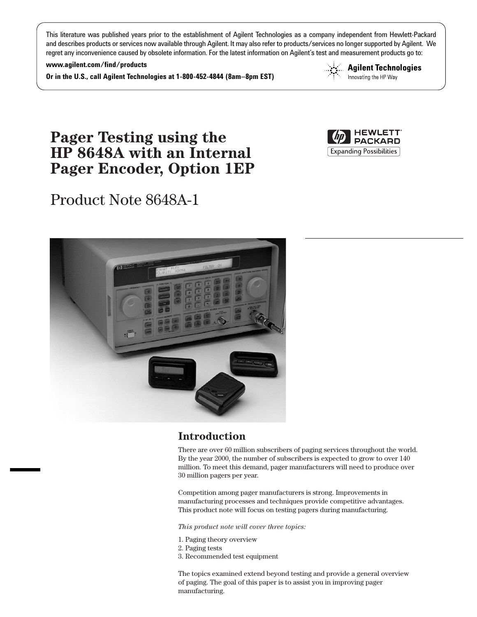This literature was published years prior to the establishment of Agilent Technologies as a company independent from Hewlett-Packard and describes products or services now available through Agilent. It may also refer to products/services no longer supported by Agilent. We regret any inconvenience caused by obsolete information. For the latest information on Agilent's test and measurement products go to:

**www.agilent.com/find/products**

**Or in the U.S., call Agilent Technologies at 1-800-452-4844 (8am–8pm EST)**



# **Pager Testing using the HP 8648A with an Internal Pager Encoder, Option 1EP**

# Product Note 8648A-1





# **Introduction**

There are over 60 million subscribers of paging services throughout the world. By the year 2000, the number of subscribers is expected to grow to over 140 million. To meet this demand, pager manufacturers will need to produce over 30 million pagers per year.

Competition among pager manufacturers is strong. Improvements in manufacturing processes and techniques provide competitive advantages. This product note will focus on testing pagers during manufacturing.

*This product note will cover three topics:*

- 1. Paging theory overview
- 2. Paging tests
- 3. Recommended test equipment

The topics examined extend beyond testing and provide a general overview of paging. The goal of this paper is to assist you in improving pager manufacturing.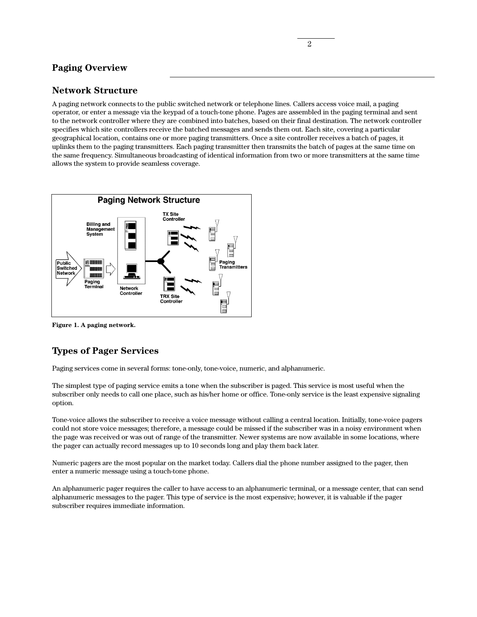## **Paging Overview**

## **Network Structure**

A paging network connects to the public switched network or telephone lines. Callers access voice mail, a paging operator, or enter a message via the keypad of a touch-tone phone. Pages are assembled in the paging terminal and sent to the network controller where they are combined into batches, based on their final destination. The network controller specifies which site controllers receive the batched messages and sends them out. Each site, covering a particular geographical location, contains one or more paging transmitters. Once a site controller receives a batch of pages, it uplinks them to the paging transmitters. Each paging transmitter then transmits the batch of pages at the same time on the same frequency. Simultaneous broadcasting of identical information from two or more transmitters at the same time allows the system to provide seamless coverage.



**Figure 1. A paging network.** 

# **Types of Pager Services**

Paging services come in several forms: tone-only, tone-voice, numeric, and alphanumeric.

The simplest type of paging service emits a tone when the subscriber is paged. This service is most useful when the subscriber only needs to call one place, such as his/her home or office. Tone-only service is the least expensive signaling option.

Tone-voice allows the subscriber to receive a voice message without calling a central location. Initially, tone-voice pagers could not store voice messages; therefore, a message could be missed if the subscriber was in a noisy environment when the page was received or was out of range of the transmitter. Newer systems are now available in some locations, where the pager can actually record messages up to 10 seconds long and play them back later.

Numeric pagers are the most popular on the market today. Callers dial the phone number assigned to the pager, then enter a numeric message using a touch-tone phone.

An alphanumeric pager requires the caller to have access to an alphanumeric terminal, or a message center, that can send alphanumeric messages to the pager. This type of service is the most expensive; however, it is valuable if the pager subscriber requires immediate information.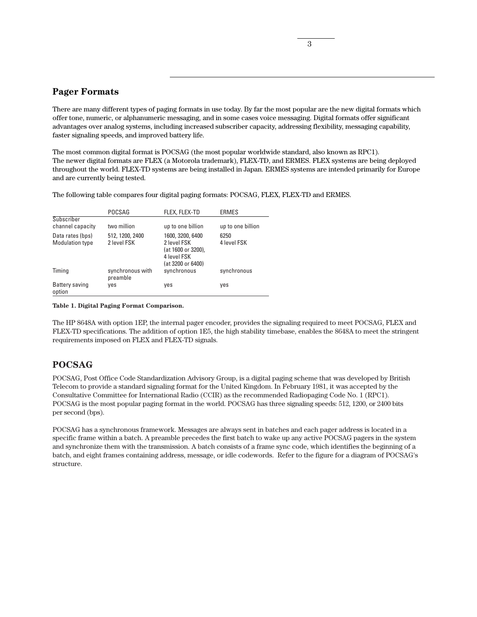## **Pager Formats**

There are many different types of paging formats in use today. By far the most popular are the new digital formats which offer tone, numeric, or alphanumeric messaging, and in some cases voice messaging. Digital formats offer significant advantages over analog systems, including increased subscriber capacity, addressing flexibility, messaging capability, faster signaling speeds, and improved battery life.

The most common digital format is POCSAG (the most popular worldwide standard, also known as RPC1). The newer digital formats are FLEX (a Motorola trademark), FLEX-TD, and ERMES. FLEX systems are being deployed throughout the world. FLEX-TD systems are being installed in Japan. ERMES systems are intended primarily for Europe and are currently being tested.

The following table compares four digital paging formats: POCSAG, FLEX, FLEX-TD and ERMES.

|                                            | POCSAG                         | FLEX, FLEX-TD                                                                             | <b>ERMES</b>        |
|--------------------------------------------|--------------------------------|-------------------------------------------------------------------------------------------|---------------------|
| Subscriber<br>channel capacity             | two million                    | up to one billion                                                                         | up to one billion   |
| Data rates (bps)<br><b>Modulation type</b> | 512, 1200, 2400<br>2 level FSK | 1600, 3200, 6400<br>2 level FSK<br>(at 1600 or 3200),<br>4 level FSK<br>(at 3200 or 6400) | 6250<br>4 level FSK |
| Timing                                     | synchronous with<br>preamble   | synchronous                                                                               | synchronous         |
| Battery saving<br>option                   | yes                            | yes                                                                                       | yes                 |

#### **Table 1. Digital Paging Format Comparison.**

The HP 8648A with option 1EP, the internal pager encoder, provides the signaling required to meet POCSAG, FLEX and FLEX-TD specifications. The addition of option 1E5, the high stability timebase, enables the 8648A to meet the stringent requirements imposed on FLEX and FLEX-TD signals.

## **POCSAG**

POCSAG, Post Office Code Standardization Advisory Group, is a digital paging scheme that was developed by British Telecom to provide a standard signaling format for the United Kingdom. In February 1981, it was accepted by the Consultative Committee for International Radio (CCIR) as the recommended Radiopaging Code No. 1 (RPC1). POCSAG is the most popular paging format in the world. POCSAG has three signaling speeds: 512, 1200, or 2400 bits per second (bps).

POCSAG has a synchronous framework. Messages are always sent in batches and each pager address is located in a specific frame within a batch. A preamble precedes the first batch to wake up any active POCSAG pagers in the system and synchronize them with the transmission. A batch consists of a frame sync code, which identifies the beginning of a batch, and eight frames containing address, message, or idle codewords. Refer to the figure for a diagram of POCSAG's structure.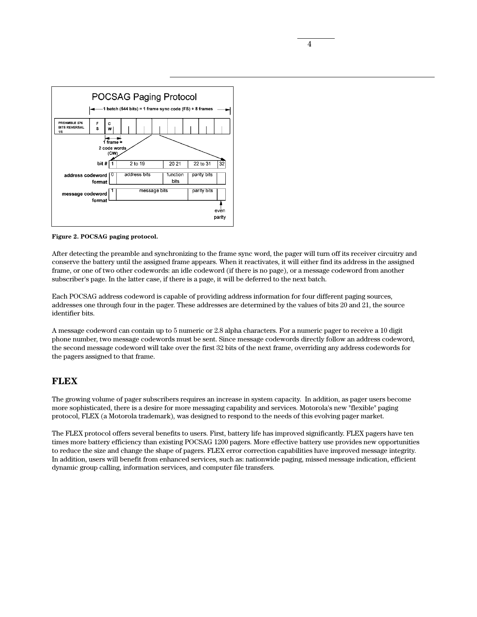

**Figure 2. POCSAG paging protocol.**

After detecting the preamble and synchronizing to the frame sync word, the pager will turn off its receiver circuitry and conserve the battery until the assigned frame appears. When it reactivates, it will either find its address in the assigned frame, or one of two other codewords: an idle codeword (if there is no page), or a message codeword from another subscriber's page. In the latter case, if there is a page, it will be deferred to the next batch.

Each POCSAG address codeword is capable of providing address information for four different paging sources, addresses one through four in the pager. These addresses are determined by the values of bits 20 and 21, the source identifier bits.

A message codeword can contain up to 5 numeric or 2.8 alpha characters. For a numeric pager to receive a 10 digit phone number, two message codewords must be sent. Since message codewords directly follow an address codeword, the second message codeword will take over the first 32 bits of the next frame, overriding any address codewords for the pagers assigned to that frame.

# **FLEX**

The growing volume of pager subscribers requires an increase in system capacity. In addition, as pager users become more sophisticated, there is a desire for more messaging capability and services. Motorola's new "flexible" paging protocol, FLEX (a Motorola trademark), was designed to respond to the needs of this evolving pager market.

The FLEX protocol offers several benefits to users. First, battery life has improved significantly. FLEX pagers have ten times more battery efficiency than existing POCSAG 1200 pagers. More effective battery use provides new opportunities to reduce the size and change the shape of pagers. FLEX error correction capabilities have improved message integrity. In addition, users will benefit from enhanced services, such as: nationwide paging, missed message indication, efficient dynamic group calling, information services, and computer file transfers.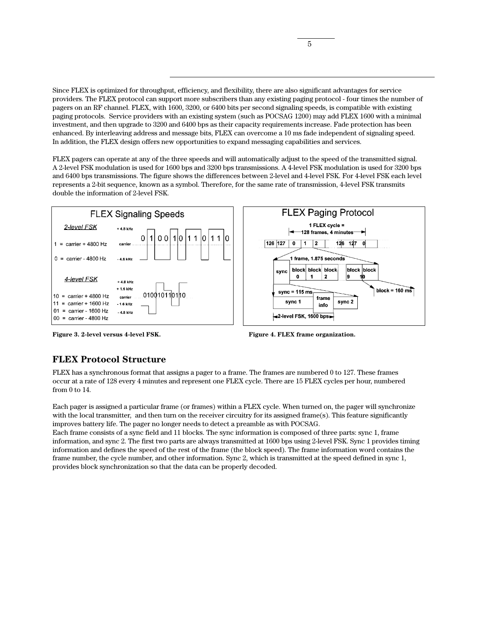Since FLEX is optimized for throughput, efficiency, and flexibility, there are also significant advantages for service providers. The FLEX protocol can support more subscribers than any existing paging protocol - four times the number of pagers on an RF channel. FLEX, with 1600, 3200, or 6400 bits per second signaling speeds, is compatible with existing paging protocols. Service providers with an existing system (such as POCSAG 1200) may add FLEX 1600 with a minimal investment, and then upgrade to 3200 and 6400 bps as their capacity requirements increase. Fade protection has been enhanced. By interleaving address and message bits, FLEX can overcome a 10 ms fade independent of signaling speed. In addition, the FLEX design offers new opportunities to expand messaging capabilities and services.

FLEX pagers can operate at any of the three speeds and will automatically adjust to the speed of the transmitted signal. A 2-level FSK modulation is used for 1600 bps and 3200 bps transmissions. A 4-level FSK modulation is used for 3200 bps and 6400 bps transmissions. The figure shows the differences between 2-level and 4-level FSK. For 4-level FSK each level represents a 2-bit sequence, known as a symbol. Therefore, for the same rate of transmission, 4-level FSK transmits double the information of 2-level FSK.







## **FLEX Protocol Structure**

FLEX has a synchronous format that assigns a pager to a frame. The frames are numbered 0 to 127. These frames occur at a rate of 128 every 4 minutes and represent one FLEX cycle. There are 15 FLEX cycles per hour, numbered from 0 to 14.

Each pager is assigned a particular frame (or frames) within a FLEX cycle. When turned on, the pager will synchronize with the local transmitter, and then turn on the receiver circuitry for its assigned frame(s). This feature significantly improves battery life. The pager no longer needs to detect a preamble as with POCSAG.

Each frame consists of a sync field and 11 blocks. The sync information is composed of three parts: sync 1, frame information, and sync 2. The first two parts are always transmitted at 1600 bps using 2-level FSK. Sync 1 provides timing information and defines the speed of the rest of the frame (the block speed). The frame information word contains the frame number, the cycle number, and other information. Sync 2, which is transmitted at the speed defined in sync 1, provides block synchronization so that the data can be properly decoded.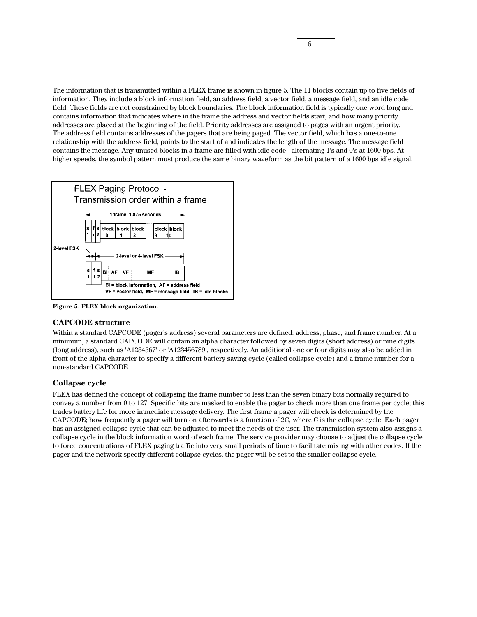The information that is transmitted within a FLEX frame is shown in figure 5. The 11 blocks contain up to five fields of information. They include a block information field, an address field, a vector field, a message field, and an idle code field. These fields are not constrained by block boundaries. The block information field is typically one word long and contains information that indicates where in the frame the address and vector fields start, and how many priority addresses are placed at the beginning of the field. Priority addresses are assigned to pages with an urgent priority. The address field contains addresses of the pagers that are being paged. The vector field, which has a one-to-one relationship with the address field, points to the start of and indicates the length of the message. The message field contains the message. Any unused blocks in a frame are filled with idle code - alternating 1's and 0's at 1600 bps. At higher speeds, the symbol pattern must produce the same binary waveform as the bit pattern of a 1600 bps idle signal.



**Figure 5. FLEX block organization.**

### **CAPCODE structure**

Within a standard CAPCODE (pager's address) several parameters are defined: address, phase, and frame number. At a minimum, a standard CAPCODE will contain an alpha character followed by seven digits (short address) or nine digits (long address), such as 'A1234567' or 'A123456789', respectively. An additional one or four digits may also be added in front of the alpha character to specify a different battery saving cycle (called collapse cycle) and a frame number for a non-standard CAPCODE.

## **Collapse cycle**

FLEX has defined the concept of collapsing the frame number to less than the seven binary bits normally required to convey a number from 0 to 127. Specific bits are masked to enable the pager to check more than one frame per cycle; this trades battery life for more immediate message delivery. The first frame a pager will check is determined by the CAPCODE; how frequently a pager will turn on afterwards is a function of 2C, where C is the collapse cycle. Each pager has an assigned collapse cycle that can be adjusted to meet the needs of the user. The transmission system also assigns a collapse cycle in the block information word of each frame. The service provider may choose to adjust the collapse cycle to force concentrations of FLEX paging traffic into very small periods of time to facilitate mixing with other codes. If the pager and the network specify different collapse cycles, the pager will be set to the smaller collapse cycle.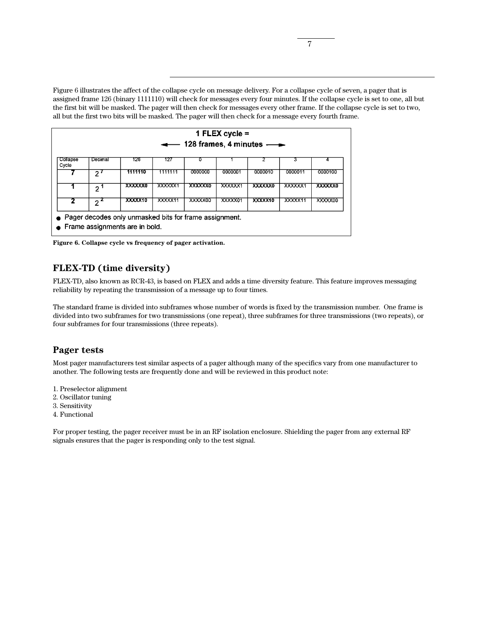Figure 6 illustrates the affect of the collapse cycle on message delivery. For a collapse cycle of seven, a pager that is assigned frame 126 (binary 1111110) will check for messages every four minutes. If the collapse cycle is set to one, all but the first bit will be masked. The pager will then check for messages every other frame. If the collapse cycle is set to two, all but the first two bits will be masked. The pager will then check for a message every fourth frame.

|                   |              |                                                                                            | $\overline{\phantom{a}}$ | 128 frames, 4 minutes $\longrightarrow$ | 1 FLEX cycle $=$ |         |         |         |
|-------------------|--------------|--------------------------------------------------------------------------------------------|--------------------------|-----------------------------------------|------------------|---------|---------|---------|
| Collapse<br>Cycle | Decimal      | 126                                                                                        | 127                      | D                                       |                  |         | з       |         |
|                   | $2^{\prime}$ | 1111110                                                                                    | 1111111                  | 0000000                                 | 0000001          | 0000010 | 0000011 | 0000100 |
|                   | י פ          | XXXXXXO                                                                                    | <b>XXXXXX</b> 1          | XXXXXX                                  | XXXXXX1          | XXXXXX0 | XXXXXX1 | XXXXXX0 |
| 2                 | 2            | <b>XXXXX10</b>                                                                             | XXXXX11                  | XXXXX00                                 | XXXXX01          | XXXXX10 | XXXXX11 | XXXXX00 |
|                   |              | • Pager decodes only unmasked bits for frame assignment.<br>Frame assignments are in bold. |                          |                                         |                  |         |         |         |

**Figure 6. Collapse cycle vs frequency of pager activation.**

# **FLEX-TD (time diversity)**

FLEX-TD, also known as RCR-43, is based on FLEX and adds a time diversity feature. This feature improves messaging reliability by repeating the transmission of a message up to four times.

The standard frame is divided into subframes whose number of words is fixed by the transmission number. One frame is divided into two subframes for two transmissions (one repeat), three subframes for three transmissions (two repeats), or four subframes for four transmissions (three repeats).

## **Pager tests**

Most pager manufacturers test similar aspects of a pager although many of the specifics vary from one manufacturer to another. The following tests are frequently done and will be reviewed in this product note:

- 1. Preselector alignment
- 2. Oscillator tuning
- 3. Sensitivity
- 4. Functional

For proper testing, the pager receiver must be in an RF isolation enclosure. Shielding the pager from any external RF signals ensures that the pager is responding only to the test signal.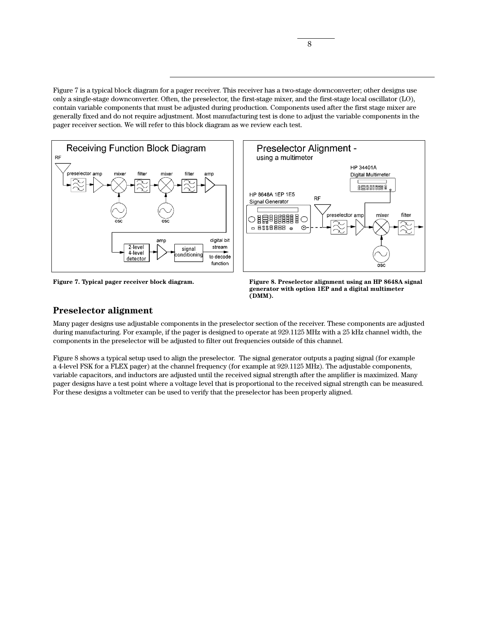Figure 7 is a typical block diagram for a pager receiver. This receiver has a two-stage downconverter; other designs use only a single-stage downconverter. Often, the preselector, the first-stage mixer, and the first-stage local oscillator (LO), contain variable components that must be adjusted during production. Components used after the first stage mixer are generally fixed and do not require adjustment. Most manufacturing test is done to adjust the variable components in the pager receiver section. We will refer to this block diagram as we review each test.





**Figure 7. Typical pager receiver block diagram. Figure 8. Preselector alignment using an HP 8648A signal generator with option 1EP and a digital multimeter (DMM).**

## **Preselector alignment**

Many pager designs use adjustable components in the preselector section of the receiver. These components are adjusted during manufacturing. For example, if the pager is designed to operate at 929.1125 MHz with a 25 kHz channel width, the components in the preselector will be adjusted to filter out frequencies outside of this channel.

Figure 8 shows a typical setup used to align the preselector. The signal generator outputs a paging signal (for example a 4-level FSK for a FLEX pager) at the channel frequency (for example at 929.1125 MHz). The adjustable components, variable capacitors, and inductors are adjusted until the received signal strength after the amplifier is maximized. Many pager designs have a test point where a voltage level that is proportional to the received signal strength can be measured. For these designs a voltmeter can be used to verify that the preselector has been properly aligned.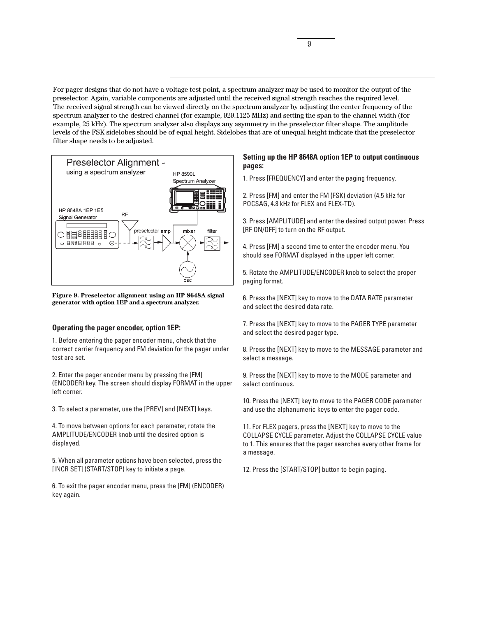For pager designs that do not have a voltage test point, a spectrum analyzer may be used to monitor the output of the preselector. Again, variable components are adjusted until the received signal strength reaches the required level. The received signal strength can be viewed directly on the spectrum analyzer by adjusting the center frequency of the spectrum analyzer to the desired channel (for example, 929.1125 MHz) and setting the span to the channel width (for example, 25 kHz). The spectrum analyzer also displays any asymmetry in the preselector filter shape. The amplitude levels of the FSK sidelobes should be of equal height. Sidelobes that are of unequal height indicate that the preselector filter shape needs to be adjusted.



**Figure 9. Preselector alignment using an HP 8648A signal generator with option 1EP and a spectrum analyzer.**

### **Operating the pager encoder, option 1EP:**

1. Before entering the pager encoder menu, check that the correct carrier frequency and FM deviation for the pager under test are set.

2. Enter the pager encoder menu by pressing the [FM] (ENCODER) key. The screen should display FORMAT in the upper left corner.

3. To select a parameter, use the [PREV] and [NEXT] keys.

4. To move between options for each parameter, rotate the AMPLITUDE/ENCODER knob until the desired option is displayed.

5. When all parameter options have been selected, press the [INCR SET] (START/STOP) key to initiate a page.

6. To exit the pager encoder menu, press the [FM] (ENCODER) key again.

## **Setting up the HP 8648A option 1EP to output continuous pages:**

1. Press [FREQUENCY] and enter the paging frequency.

2. Press [FM] and enter the FM (FSK) deviation (4.5 kHz for POCSAG, 4.8 kHz for FLEX and FLEX-TD).

3. Press [AMPLITUDE] and enter the desired output power. Press [RF ON/OFF] to turn on the RF output.

4. Press [FM] a second time to enter the encoder menu. You should see FORMAT displayed in the upper left corner.

5. Rotate the AMPLITUDE/ENCODER knob to select the proper paging format.

6. Press the [NEXT] key to move to the DATA RATE parameter and select the desired data rate.

7. Press the [NEXT] key to move to the PAGER TYPE parameter and select the desired pager type.

8. Press the [NEXT] key to move to the MESSAGE parameter and select a message.

9. Press the [NEXT] key to move to the MODE parameter and select continuous.

10. Press the [NEXT] key to move to the PAGER CODE parameter and use the alphanumeric keys to enter the pager code.

11. For FLEX pagers, press the [NEXT] key to move to the COLLAPSE CYCLE parameter. Adjust the COLLAPSE CYCLE value to 1. This ensures that the pager searches every other frame for a message.

12. Press the [START/STOP] button to begin paging.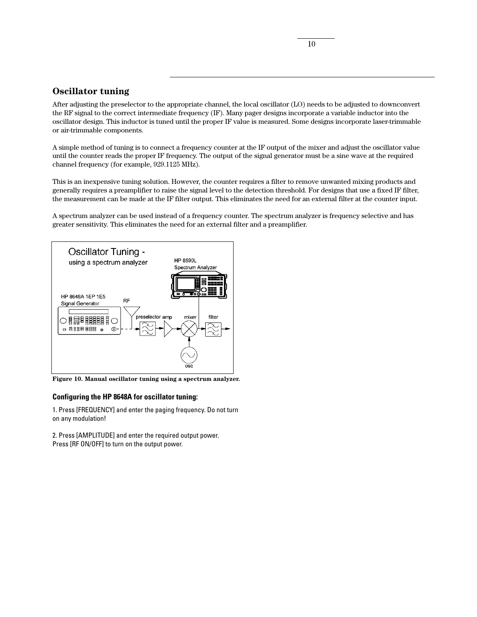## **Oscillator tuning**

After adjusting the preselector to the appropriate channel, the local oscillator (LO) needs to be adjusted to downconvert the RF signal to the correct intermediate frequency (IF). Many pager designs incorporate a variable inductor into the oscillator design. This inductor is tuned until the proper IF value is measured. Some designs incorporate laser-trimmable or air-trimmable components.

A simple method of tuning is to connect a frequency counter at the IF output of the mixer and adjust the oscillator value until the counter reads the proper IF frequency. The output of the signal generator must be a sine wave at the required channel frequency (for example, 929.1125 MHz).

This is an inexpensive tuning solution. However, the counter requires a filter to remove unwanted mixing products and generally requires a preamplifier to raise the signal level to the detection threshold. For designs that use a fixed IF filter, the measurement can be made at the IF filter output. This eliminates the need for an external filter at the counter input.

A spectrum analyzer can be used instead of a frequency counter. The spectrum analyzer is frequency selective and has greater sensitivity. This eliminates the need for an external filter and a preamplifier.



**Figure 10. Manual oscillator tuning using a spectrum analyzer.**

#### **Configuring the HP 8648A for oscillator tuning:**

1. Press [FREQUENCY] and enter the paging frequency. Do not turn on any modulation!

2. Press [AMPLITUDE] and enter the required output power. Press [RF ON/OFF] to turn on the output power.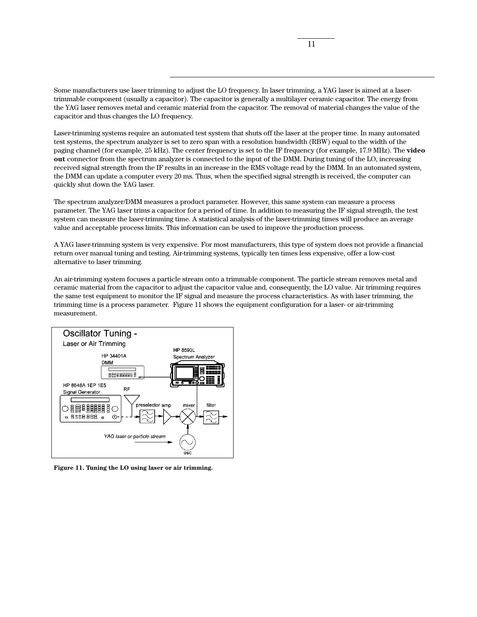Some manufacturers use laser trimming to adjust the LO frequency. In laser trimming, a YAG laser is aimed at a lasertrimmable component (usually a capacitor). The capacitor is generally a multilayer ceramic capacitor. The energy from the YAG laser removes metal and ceramic material from the capacitor. The removal of material changes the value of the capacitor and thus changes the LO frequency.

Laser-trimming systems require an automated test system that shuts off the laser at the proper time. In many automated test systems, the spectrum analyzer is set to zero span with a resolution bandwidth (RBW) equal to the width of the paging channel (for example, 25 kHz). The center frequency is set to the IF frequency (for example, 17.9 MHz). The **video out** connector from the spectrum analyzer is connected to the input of the DMM. During tuning of the LO, increasing received signal strength from the IF results in an increase in the RMS voltage read by the DMM. In an automated system, the DMM can update a computer every 20 ms. Thus, when the specified signal strength is received, the computer can quickly shut down the YAG laser.

The spectrum analyzer/DMM measures a product parameter. However, this same system can measure a process parameter. The YAG laser trims a capacitor for a period of time. In addition to measuring the IF signal strength, the test system can measure the laser-trimming time. A statistical analysis of the laser-trimming times will produce an average value and acceptable process limits. This information can be used to improve the production process.

A YAG laser-trimming system is very expensive. For most manufacturers, this type of system does not provide a financial return over manual tuning and testing. Air-trimming systems, typically ten times less expensive, offer a low-cost alternative to laser trimming.

An air-trimming system focuses a particle stream onto a trimmable component. The particle stream removes metal and ceramic material from the capacitor to adjust the capacitor value and, consequently, the LO value. Air trimming requires the same test equipment to monitor the IF signal and measure the process characteristics. As with laser trimming, the trimming time is a process parameter. Figure 11 shows the equipment configuration for a laser- or air-trimming measurement.



**Figure 11. Tuning the LO using laser or air trimming.**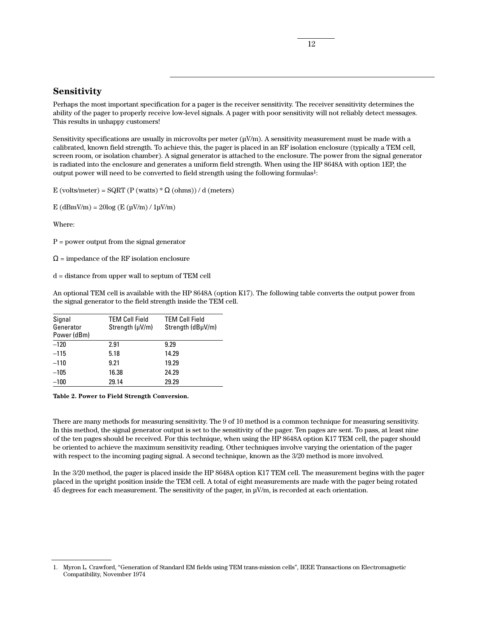## **Sensitivity**

Perhaps the most important specification for a pager is the receiver sensitivity. The receiver sensitivity determines the ability of the pager to properly receive low-level signals. A pager with poor sensitivity will not reliably detect messages. This results in unhappy customers!

Sensitivity specifications are usually in microvolts per meter  $(\mu V/m)$ . A sensitivity measurement must be made with a calibrated, known field strength. To achieve this, the pager is placed in an RF isolation enclosure (typically a TEM cell, screen room, or isolation chamber). A signal generator is attached to the enclosure. The power from the signal generator is radiated into the enclosure and generates a uniform field strength. When using the HP 8648A with option 1EP, the output power will need to be converted to field strength using the following formulas<sup>1</sup>:

E (volts/meter) =  $SQRT(P$  (watts)  $*\Omega$  (ohms)) / d (meters)

 $E$  (dBmV/m) = 20log (E ( $\mu$ V/m) / 1 $\mu$ V/m)

Where:

 $P = power$  output from the signal generator

 $\Omega$  = impedance of the RF isolation enclosure

d = distance from upper wall to septum of TEM cell

An optional TEM cell is available with the HP 8648A (option K17). The following table converts the output power from the signal generator to the field strength inside the TEM cell.

| Signal<br>Generator<br>Power (dBm) | <b>TEM Cell Field</b><br>Strength (µV/m) | <b>TEM Cell Field</b><br>Strength (dBuV/m) |
|------------------------------------|------------------------------------------|--------------------------------------------|
| $-120$                             | 2.91                                     | 9.29                                       |
| $-115$                             | 5.18                                     | 14.29                                      |
| $-110$                             | 9.21                                     | 19.29                                      |
| $-105$                             | 16.38                                    | 24.29                                      |
| $-100$                             | 29.14                                    | 29.29                                      |

**Table 2. Power to Field Strength Conversion.**

There are many methods for measuring sensitivity. The 9 of 10 method is a common technique for measuring sensitivity. In this method, the signal generator output is set to the sensitivity of the pager. Ten pages are sent. To pass, at least nine of the ten pages should be received. For this technique, when using the HP 8648A option K17 TEM cell, the pager should be oriented to achieve the maximum sensitivity reading. Other techniques involve varying the orientation of the pager with respect to the incoming paging signal. A second technique, known as the 3/20 method is more involved.

In the 3/20 method, the pager is placed inside the HP 8648A option K17 TEM cell. The measurement begins with the pager placed in the upright position inside the TEM cell. A total of eight measurements are made with the pager being rotated 45 degrees for each measurement. The sensitivity of the pager, in  $\mu V/m$ , is recorded at each orientation.

<sup>1.</sup> Myron L. Crawford, "Generation of Standard EM fields using TEM trans-mission cells", IEEE Transactions on Electromagnetic Compatibility, November 1974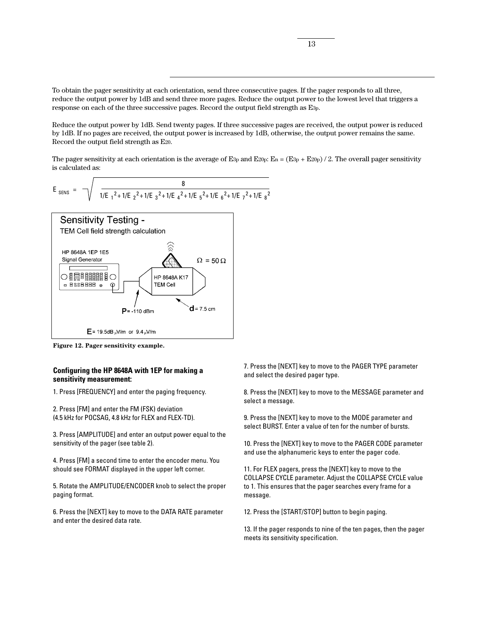To obtain the pager sensitivity at each orientation, send three consecutive pages. If the pager responds to all three, reduce the output power by 1dB and send three more pages. Reduce the output power to the lowest level that triggers a response on each of the three successive pages. Record the output field strength as E3p.

Reduce the output power by 1dB. Send twenty pages. If three successive pages are received, the output power is reduced by 1dB. If no pages are received, the output power is increased by 1dB, otherwise, the output power remains the same. Record the output field strength as E20.

The pager sensitivity at each orientation is the average of E<sub>3p</sub> and E<sub>20p</sub>: E<sub>n</sub> = (E<sub>3p</sub> + E<sub>20p</sub>) / 2. The overall pager sensitivity is calculated as:

$$
E_{\text{SENS}} = \sqrt{\frac{8}{1/E_1^2 + 1/E_2^2 + 1/E_3^2 + 1/E_4^2 + 1/E_5^2 + 1/E_6^2 + 1/E_7^2 + 1/E_8^2}}
$$



**Figure 12. Pager sensitivity example.**

### **Configuring the HP 8648A with 1EP for making a sensitivity measurement:**

1. Press [FREQUENCY] and enter the paging frequency.

2. Press [FM] and enter the FM (FSK) deviation (4.5 kHz for POCSAG, 4.8 kHz for FLEX and FLEX-TD).

3. Press [AMPLITUDE] and enter an output power equal to the sensitivity of the pager (see table 2).

4. Press [FM] a second time to enter the encoder menu. You should see FORMAT displayed in the upper left corner.

5. Rotate the AMPLITUDE/ENCODER knob to select the proper paging format.

6. Press the [NEXT] key to move to the DATA RATE parameter and enter the desired data rate.

7. Press the [NEXT] key to move to the PAGER TYPE parameter and select the desired pager type.

8. Press the [NEXT] key to move to the MESSAGE parameter and select a message.

9. Press the [NEXT] key to move to the MODE parameter and select BURST. Enter a value of ten for the number of bursts.

10. Press the [NEXT] key to move to the PAGER CODE parameter and use the alphanumeric keys to enter the pager code.

11. For FLEX pagers, press the [NEXT] key to move to the COLLAPSE CYCLE parameter. Adjust the COLLAPSE CYCLE value to 1. This ensures that the pager searches every frame for a message.

12. Press the [START/STOP] button to begin paging.

13. If the pager responds to nine of the ten pages, then the pager meets its sensitivity specification.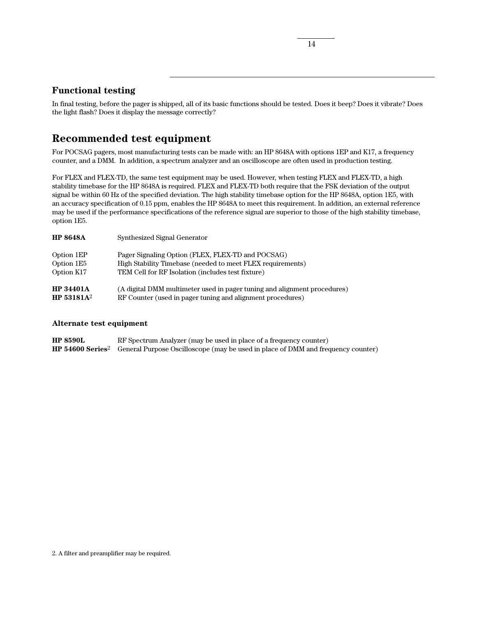## **Functional testing**

In final testing, before the pager is shipped, all of its basic functions should be tested. Does it beep? Does it vibrate? Does the light flash? Does it display the message correctly?

# **Recommended test equipment**

For POCSAG pagers, most manufacturing tests can be made with: an HP 8648A with options 1EP and K17, a frequency counter, and a DMM. In addition, a spectrum analyzer and an oscilloscope are often used in production testing.

For FLEX and FLEX-TD, the same test equipment may be used. However, when testing FLEX and FLEX-TD, a high stability timebase for the HP 8648A is required. FLEX and FLEX-TD both require that the FSK deviation of the output signal be within 60 Hz of the specified deviation. The high stability timebase option for the HP 8648A, option 1E5, with an accuracy specification of 0.15 ppm, enables the HP 8648A to meet this requirement. In addition, an external reference may be used if the performance specifications of the reference signal are superior to those of the high stability timebase, option 1E5.

| <b>HP 8648A</b>        | Synthesized Signal Generator                                             |
|------------------------|--------------------------------------------------------------------------|
| Option 1EP             | Pager Signaling Option (FLEX, FLEX-TD and POCSAG)                        |
| Option 1E5             | High Stability Timebase (needed to meet FLEX requirements)               |
| Option K17             | TEM Cell for RF Isolation (includes test fixture)                        |
| <b>HP 34401A</b>       | (A digital DMM multimeter used in pager tuning and alignment procedures) |
| HP 53181A <sup>2</sup> | RF Counter (used in pager tuning and alignment procedures)               |

### **Alternate test equipment**

| <b>HP 8590L</b> | RF Spectrum Analyzer (may be used in place of a frequency counter)                                                   |
|-----------------|----------------------------------------------------------------------------------------------------------------------|
|                 | <b>HP 54600 Series</b> <sup>2</sup> General Purpose Oscilloscope (may be used in place of DMM and frequency counter) |